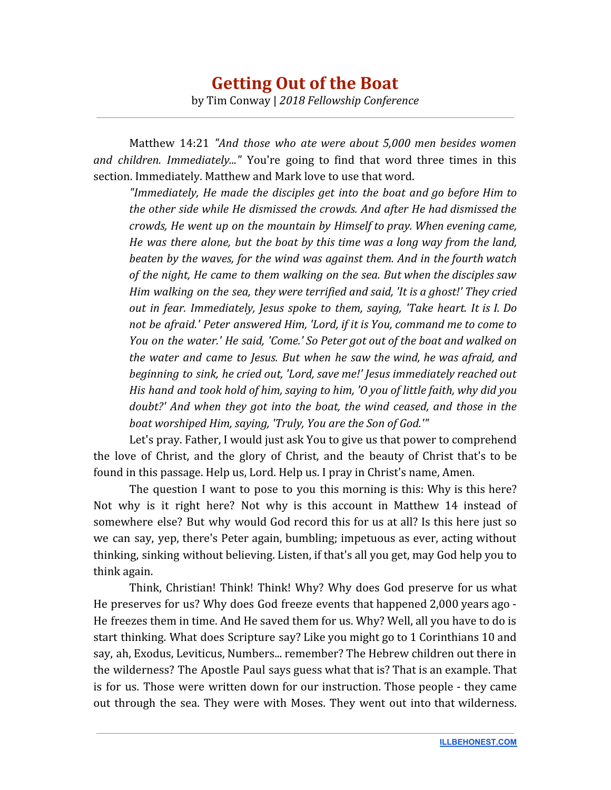Matthew 14:21 *"And those who ate were about 5,000 men besides women and children. Immediately..."* You're going to find that word three times in this section. Immediately. Matthew and Mark love to use that word.

*"Immediately, He made the disciples get into the boat and go before Him to the other side while He dismissed the crowds. And after He had dismissed the crowds, He went up on the mountain by Himself to pray. When evening came, He was there alone, but the boat by this time was a long way from the land, beaten by the waves, for the wind was against them. And in the fourth watch of the night, He came to them walking on the sea. But when the disciples saw Him walking on the sea, they were terrified and said, 'It is a ghost!' They cried out in fear. Immediately, Jesus spoke to them, saying, 'Take heart. It is I. Do not be afraid.' Peter answered Him, 'Lord, if it is You, command me to come to You on the water.' He said, 'Come.' So Peter got out of the boat and walked on the water and came to Jesus. But when he saw the wind, he was afraid, and beginning to sink, he cried out, 'Lord, save me!' Jesus immediately reached out His hand and took hold of him, saying to him, 'O you of little faith, why did you doubt?' And when they got into the boat, the wind ceased, and those in the boat worshiped Him, saying, 'Truly, You are the Son of God.'"*

Let's pray. Father, I would just ask You to give us that power to comprehend the love of Christ, and the glory of Christ, and the beauty of Christ that's to be found in this passage. Help us, Lord. Help us. I pray in Christ's name, Amen.

The question I want to pose to you this morning is this: Why is this here? Not why is it right here? Not why is this account in Matthew 14 instead of somewhere else? But why would God record this for us at all? Is this here just so we can say, yep, there's Peter again, bumbling; impetuous as ever, acting without thinking, sinking without believing. Listen, if that's all you get, may God help you to think again.

Think, Christian! Think! Think! Why? Why does God preserve for us what He preserves for us? Why does God freeze events that happened 2,000 years ago - He freezes them in time. And He saved them for us. Why? Well, all you have to do is start thinking. What does Scripture say? Like you might go to 1 Corinthians 10 and say, ah, Exodus, Leviticus, Numbers... remember? The Hebrew children out there in the wilderness? The Apostle Paul says guess what that is? That is an example. That is for us. Those were written down for our instruction. Those people - they came out through the sea. They were with Moses. They went out into that wilderness.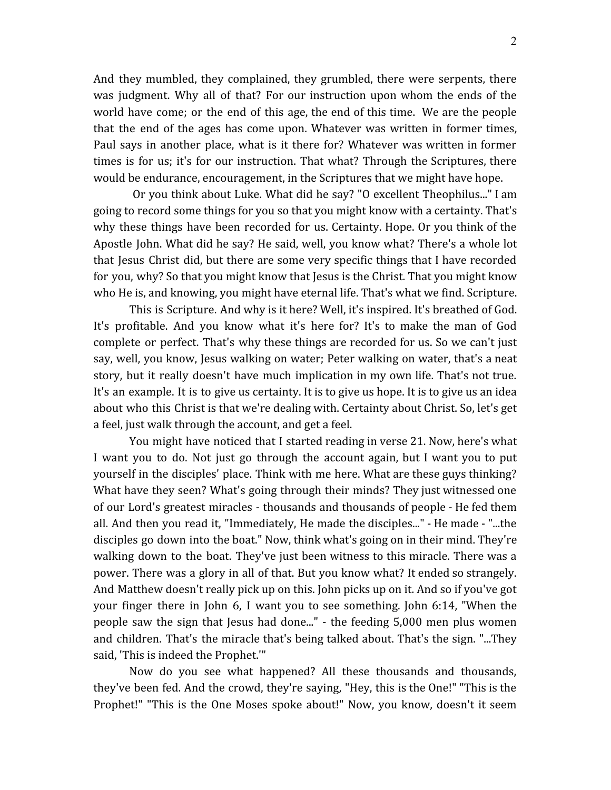And they mumbled, they complained, they grumbled, there were serpents, there was judgment. Why all of that? For our instruction upon whom the ends of the world have come; or the end of this age, the end of this time. We are the people that the end of the ages has come upon. Whatever was written in former times, Paul says in another place, what is it there for? Whatever was written in former times is for us; it's for our instruction. That what? Through the Scriptures, there would be endurance, encouragement, in the Scriptures that we might have hope.

Or you think about Luke. What did he say? "O excellent Theophilus..." I am going to record some things for you so that you might know with a certainty. That's why these things have been recorded for us. Certainty. Hope. Or you think of the Apostle John. What did he say? He said, well, you know what? There's a whole lot that Jesus Christ did, but there are some very specific things that I have recorded for you, why? So that you might know that Jesus is the Christ. That you might know who He is, and knowing, you might have eternal life. That's what we find. Scripture.

This is Scripture. And why is it here? Well, it's inspired. It's breathed of God. It's profitable. And you know what it's here for? It's to make the man of God complete or perfect. That's why these things are recorded for us. So we can't just say, well, you know, Jesus walking on water; Peter walking on water, that's a neat story, but it really doesn't have much implication in my own life. That's not true. It's an example. It is to give us certainty. It is to give us hope. It is to give us an idea about who this Christ is that we're dealing with. Certainty about Christ. So, let's get a feel, just walk through the account, and get a feel.

You might have noticed that I started reading in verse 21. Now, here's what I want you to do. Not just go through the account again, but I want you to put yourself in the disciples' place. Think with me here. What are these guys thinking? What have they seen? What's going through their minds? They just witnessed one of our Lord's greatest miracles - thousands and thousands of people - He fed them all. And then you read it, "Immediately, He made the disciples..." - He made - "...the disciples go down into the boat." Now, think what's going on in their mind. They're walking down to the boat. They've just been witness to this miracle. There was a power. There was a glory in all of that. But you know what? It ended so strangely. And Matthew doesn't really pick up on this. John picks up on it. And so if you've got your finger there in John 6, I want you to see something. John 6:14, "When the people saw the sign that Jesus had done..." - the feeding 5,000 men plus women and children. That's the miracle that's being talked about. That's the sign. "...They said, 'This is indeed the Prophet.'"

Now do you see what happened? All these thousands and thousands, they've been fed. And the crowd, they're saying, "Hey, this is the One!" "This is the Prophet!" "This is the One Moses spoke about!" Now, you know, doesn't it seem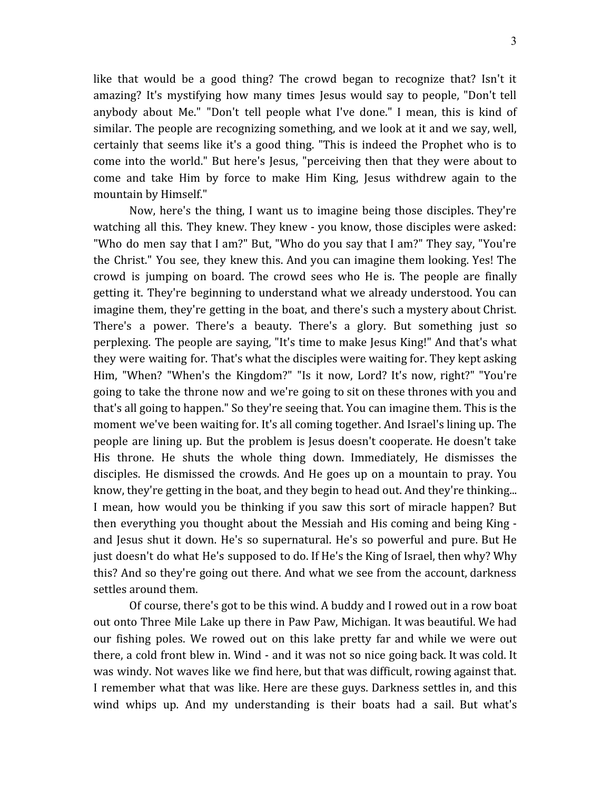like that would be a good thing? The crowd began to recognize that? Isn't it amazing? It's mystifying how many times Jesus would say to people, "Don't tell anybody about Me." "Don't tell people what I've done." I mean, this is kind of similar. The people are recognizing something, and we look at it and we say, well, certainly that seems like it's a good thing. "This is indeed the Prophet who is to come into the world." But here's Jesus, "perceiving then that they were about to come and take Him by force to make Him King, Jesus withdrew again to the mountain by Himself."

Now, here's the thing, I want us to imagine being those disciples. They're watching all this. They knew. They knew - you know, those disciples were asked: "Who do men say that I am?" But, "Who do you say that I am?" They say, "You're the Christ." You see, they knew this. And you can imagine them looking. Yes! The crowd is jumping on board. The crowd sees who He is. The people are finally getting it. They're beginning to understand what we already understood. You can imagine them, they're getting in the boat, and there's such a mystery about Christ. There's a power. There's a beauty. There's a glory. But something just so perplexing. The people are saying, "It's time to make Jesus King!" And that's what they were waiting for. That's what the disciples were waiting for. They kept asking Him, "When? "When's the Kingdom?" "Is it now, Lord? It's now, right?" "You're going to take the throne now and we're going to sit on these thrones with you and that's all going to happen." So they're seeing that. You can imagine them. This is the moment we've been waiting for. It's all coming together. And Israel's lining up. The people are lining up. But the problem is Jesus doesn't cooperate. He doesn't take His throne. He shuts the whole thing down. Immediately, He dismisses the disciples. He dismissed the crowds. And He goes up on a mountain to pray. You know, they're getting in the boat, and they begin to head out. And they're thinking... I mean, how would you be thinking if you saw this sort of miracle happen? But then everything you thought about the Messiah and His coming and being King and Jesus shut it down. He's so supernatural. He's so powerful and pure. But He just doesn't do what He's supposed to do. If He's the King of Israel, then why? Why this? And so they're going out there. And what we see from the account, darkness settles around them.

Of course, there's got to be this wind. A buddy and I rowed out in a row boat out onto Three Mile Lake up there in Paw Paw, Michigan. It was beautiful. We had our fishing poles. We rowed out on this lake pretty far and while we were out there, a cold front blew in. Wind - and it was not so nice going back. It was cold. It was windy. Not waves like we find here, but that was difficult, rowing against that. I remember what that was like. Here are these guys. Darkness settles in, and this wind whips up. And my understanding is their boats had a sail. But what's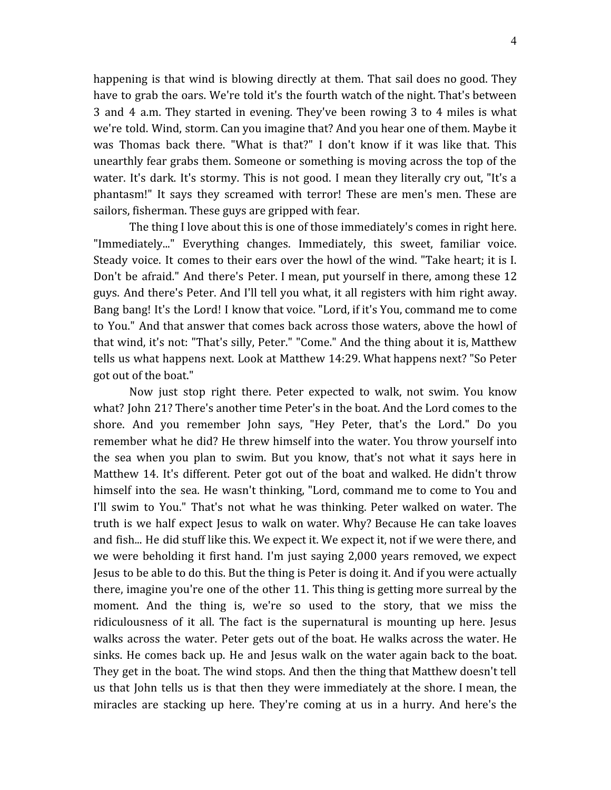happening is that wind is blowing directly at them. That sail does no good. They have to grab the oars. We're told it's the fourth watch of the night. That's between 3 and 4 a.m. They started in evening. They've been rowing 3 to 4 miles is what we're told. Wind, storm. Can you imagine that? And you hear one of them. Maybe it was Thomas back there. "What is that?" I don't know if it was like that. This unearthly fear grabs them. Someone or something is moving across the top of the water. It's dark. It's stormy. This is not good. I mean they literally cry out, "It's a phantasm!" It says they screamed with terror! These are men's men. These are sailors, fisherman. These guys are gripped with fear.

The thing I love about this is one of those immediately's comes in right here. "Immediately..." Everything changes. Immediately, this sweet, familiar voice. Steady voice. It comes to their ears over the howl of the wind. "Take heart; it is I. Don't be afraid." And there's Peter. I mean, put yourself in there, among these 12 guys. And there's Peter. And I'll tell you what, it all registers with him right away. Bang bang! It's the Lord! I know that voice. "Lord, if it's You, command me to come to You." And that answer that comes back across those waters, above the howl of that wind, it's not: "That's silly, Peter." "Come." And the thing about it is, Matthew tells us what happens next. Look at Matthew 14:29. What happens next? "So Peter got out of the boat."

Now just stop right there. Peter expected to walk, not swim. You know what? John 21? There's another time Peter's in the boat. And the Lord comes to the shore. And you remember John says, "Hey Peter, that's the Lord." Do you remember what he did? He threw himself into the water. You throw yourself into the sea when you plan to swim. But you know, that's not what it says here in Matthew 14. It's different. Peter got out of the boat and walked. He didn't throw himself into the sea. He wasn't thinking, "Lord, command me to come to You and I'll swim to You." That's not what he was thinking. Peter walked on water. The truth is we half expect Jesus to walk on water. Why? Because He can take loaves and fish... He did stuff like this. We expect it. We expect it, not if we were there, and we were beholding it first hand. I'm just saying 2,000 years removed, we expect Jesus to be able to do this. But the thing is Peter is doing it. And if you were actually there, imagine you're one of the other 11. This thing is getting more surreal by the moment. And the thing is, we're so used to the story, that we miss the ridiculousness of it all. The fact is the supernatural is mounting up here. Jesus walks across the water. Peter gets out of the boat. He walks across the water. He sinks. He comes back up. He and Jesus walk on the water again back to the boat. They get in the boat. The wind stops. And then the thing that Matthew doesn't tell us that John tells us is that then they were immediately at the shore. I mean, the miracles are stacking up here. They're coming at us in a hurry. And here's the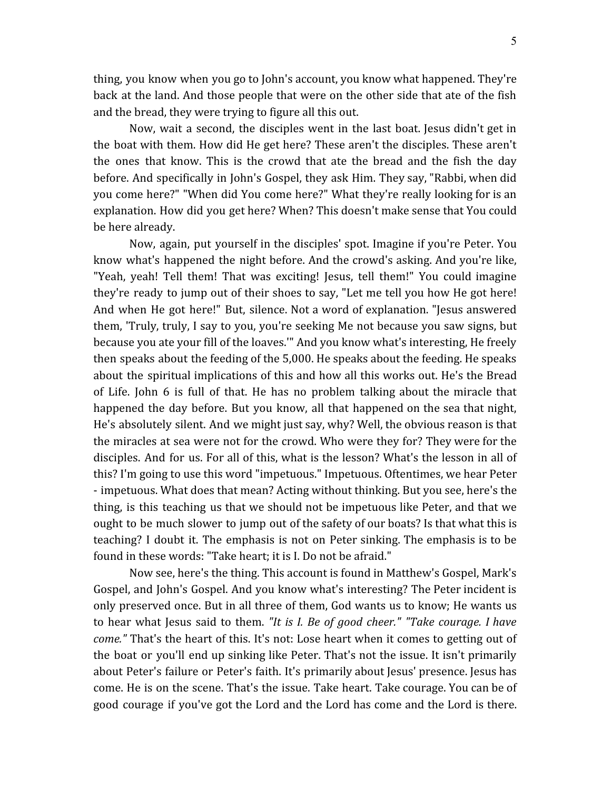thing, you know when you go to John's account, you know what happened. They're back at the land. And those people that were on the other side that ate of the fish and the bread, they were trying to figure all this out.

Now, wait a second, the disciples went in the last boat. Jesus didn't get in the boat with them. How did He get here? These aren't the disciples. These aren't the ones that know. This is the crowd that ate the bread and the fish the day before. And specifically in John's Gospel, they ask Him. They say, "Rabbi, when did you come here?" "When did You come here?" What they're really looking for is an explanation. How did you get here? When? This doesn't make sense that You could be here already.

Now, again, put yourself in the disciples' spot. Imagine if you're Peter. You know what's happened the night before. And the crowd's asking. And you're like, "Yeah, yeah! Tell them! That was exciting! Jesus, tell them!" You could imagine they're ready to jump out of their shoes to say, "Let me tell you how He got here! And when He got here!" But, silence. Not a word of explanation. "Jesus answered them, 'Truly, truly, I say to you, you're seeking Me not because you saw signs, but because you ate your fill of the loaves.'" And you know what's interesting, He freely then speaks about the feeding of the 5,000. He speaks about the feeding. He speaks about the spiritual implications of this and how all this works out. He's the Bread of Life. John 6 is full of that. He has no problem talking about the miracle that happened the day before. But you know, all that happened on the sea that night, He's absolutely silent. And we might just say, why? Well, the obvious reason is that the miracles at sea were not for the crowd. Who were they for? They were for the disciples. And for us. For all of this, what is the lesson? What's the lesson in all of this? I'm going to use this word "impetuous." Impetuous. Oftentimes, we hear Peter - impetuous. What does that mean? Acting without thinking. But you see, here's the thing, is this teaching us that we should not be impetuous like Peter, and that we ought to be much slower to jump out of the safety of our boats? Is that what this is teaching? I doubt it. The emphasis is not on Peter sinking. The emphasis is to be found in these words: "Take heart; it is I. Do not be afraid."

Now see, here's the thing. This account is found in Matthew's Gospel, Mark's Gospel, and John's Gospel. And you know what's interesting? The Peter incident is only preserved once. But in all three of them, God wants us to know; He wants us to hear what Jesus said to them. *"It is I. Be of good cheer." "Take courage. I have come."* That's the heart of this. It's not: Lose heart when it comes to getting out of the boat or you'll end up sinking like Peter. That's not the issue. It isn't primarily about Peter's failure or Peter's faith. It's primarily about Jesus' presence. Jesus has come. He is on the scene. That's the issue. Take heart. Take courage. You can be of good courage if you've got the Lord and the Lord has come and the Lord is there.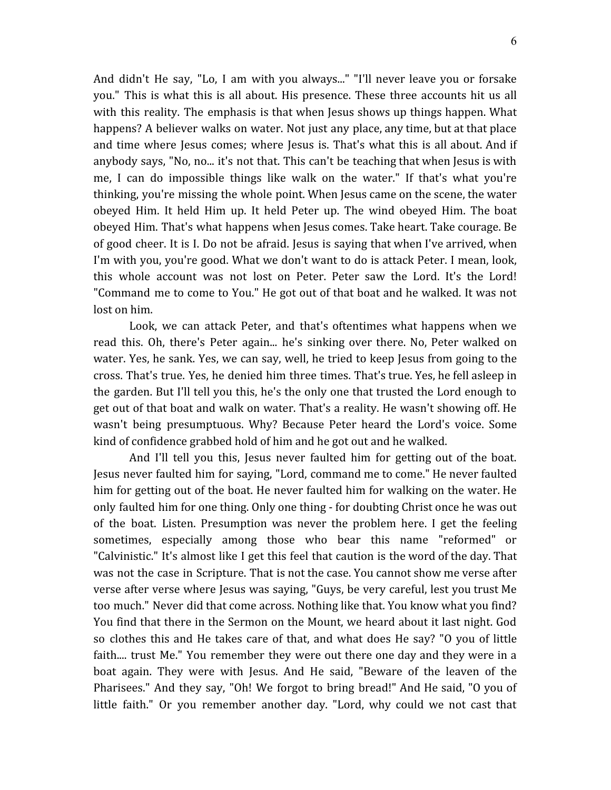And didn't He say, "Lo, I am with you always..." "I'll never leave you or forsake you." This is what this is all about. His presence. These three accounts hit us all with this reality. The emphasis is that when Jesus shows up things happen. What happens? A believer walks on water. Not just any place, any time, but at that place and time where Jesus comes; where Jesus is. That's what this is all about. And if anybody says, "No, no... it's not that. This can't be teaching that when Jesus is with me, I can do impossible things like walk on the water." If that's what you're thinking, you're missing the whole point. When Jesus came on the scene, the water obeyed Him. It held Him up. It held Peter up. The wind obeyed Him. The boat obeyed Him. That's what happens when Jesus comes. Take heart. Take courage. Be of good cheer. It is I. Do not be afraid. Jesus is saying that when I've arrived, when I'm with you, you're good. What we don't want to do is attack Peter. I mean, look, this whole account was not lost on Peter. Peter saw the Lord. It's the Lord! "Command me to come to You." He got out of that boat and he walked. It was not lost on him.

Look, we can attack Peter, and that's oftentimes what happens when we read this. Oh, there's Peter again... he's sinking over there. No, Peter walked on water. Yes, he sank. Yes, we can say, well, he tried to keep Jesus from going to the cross. That's true. Yes, he denied him three times. That's true. Yes, he fell asleep in the garden. But I'll tell you this, he's the only one that trusted the Lord enough to get out of that boat and walk on water. That's a reality. He wasn't showing off. He wasn't being presumptuous. Why? Because Peter heard the Lord's voice. Some kind of confidence grabbed hold of him and he got out and he walked.

And I'll tell you this, Jesus never faulted him for getting out of the boat. Jesus never faulted him for saying, "Lord, command me to come." He never faulted him for getting out of the boat. He never faulted him for walking on the water. He only faulted him for one thing. Only one thing - for doubting Christ once he was out of the boat. Listen. Presumption was never the problem here. I get the feeling sometimes, especially among those who bear this name "reformed" or "Calvinistic." It's almost like I get this feel that caution is the word of the day. That was not the case in Scripture. That is not the case. You cannot show me verse after verse after verse where Jesus was saying, "Guys, be very careful, lest you trust Me too much." Never did that come across. Nothing like that. You know what you find? You find that there in the Sermon on the Mount, we heard about it last night. God so clothes this and He takes care of that, and what does He say? "O you of little faith.... trust Me." You remember they were out there one day and they were in a boat again. They were with Jesus. And He said, "Beware of the leaven of the Pharisees." And they say, "Oh! We forgot to bring bread!" And He said, "O you of little faith." Or you remember another day. "Lord, why could we not cast that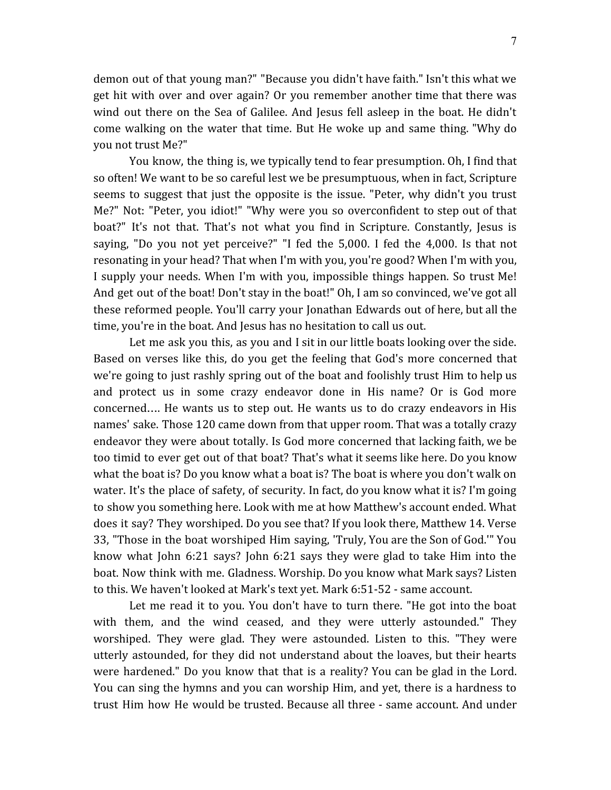demon out of that young man?" "Because you didn't have faith." Isn't this what we get hit with over and over again? Or you remember another time that there was wind out there on the Sea of Galilee. And Jesus fell asleep in the boat. He didn't come walking on the water that time. But He woke up and same thing. "Why do you not trust Me?"

You know, the thing is, we typically tend to fear presumption. Oh, I find that so often! We want to be so careful lest we be presumptuous, when in fact, Scripture seems to suggest that just the opposite is the issue. "Peter, why didn't you trust Me?" Not: "Peter, you idiot!" "Why were you so overconfident to step out of that boat?" It's not that. That's not what you find in Scripture. Constantly, Jesus is saying, "Do you not yet perceive?" "I fed the 5,000. I fed the 4,000. Is that not resonating in your head? That when I'm with you, you're good? When I'm with you, I supply your needs. When I'm with you, impossible things happen. So trust Me! And get out of the boat! Don't stay in the boat!" Oh, I am so convinced, we've got all these reformed people. You'll carry your Jonathan Edwards out of here, but all the time, you're in the boat. And Jesus has no hesitation to call us out.

Let me ask you this, as you and I sit in our little boats looking over the side. Based on verses like this, do you get the feeling that God's more concerned that we're going to just rashly spring out of the boat and foolishly trust Him to help us and protect us in some crazy endeavor done in His name? Or is God more concerned…. He wants us to step out. He wants us to do crazy endeavors in His names' sake. Those 120 came down from that upper room. That was a totally crazy endeavor they were about totally. Is God more concerned that lacking faith, we be too timid to ever get out of that boat? That's what it seems like here. Do you know what the boat is? Do you know what a boat is? The boat is where you don't walk on water. It's the place of safety, of security. In fact, do you know what it is? I'm going to show you something here. Look with me at how Matthew's account ended. What does it say? They worshiped. Do you see that? If you look there, Matthew 14. Verse 33, "Those in the boat worshiped Him saying, 'Truly, You are the Son of God.'" You know what John 6:21 says? John 6:21 says they were glad to take Him into the boat. Now think with me. Gladness. Worship. Do you know what Mark says? Listen to this. We haven't looked at Mark's text yet. Mark 6:51-52 - same account.

Let me read it to you. You don't have to turn there. "He got into the boat with them, and the wind ceased, and they were utterly astounded." They worshiped. They were glad. They were astounded. Listen to this. "They were utterly astounded, for they did not understand about the loaves, but their hearts were hardened." Do you know that that is a reality? You can be glad in the Lord. You can sing the hymns and you can worship Him, and yet, there is a hardness to trust Him how He would be trusted. Because all three - same account. And under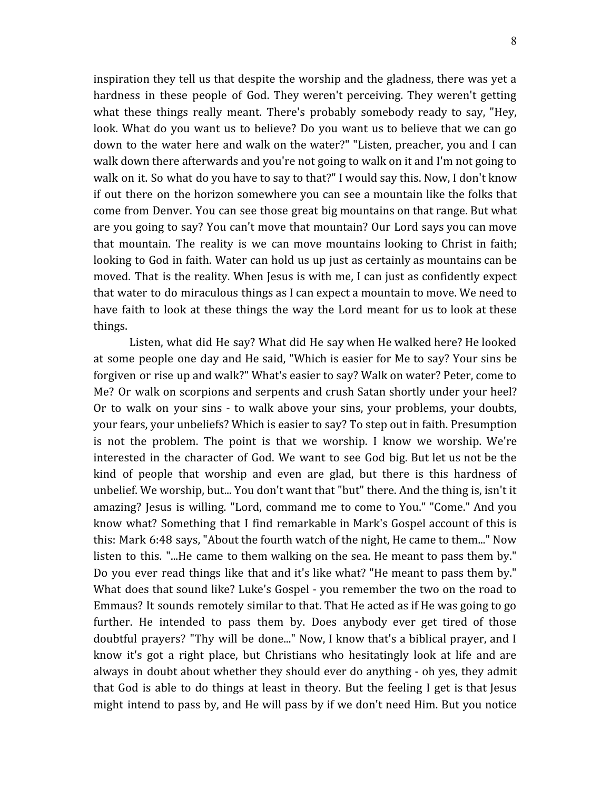inspiration they tell us that despite the worship and the gladness, there was yet a hardness in these people of God. They weren't perceiving. They weren't getting what these things really meant. There's probably somebody ready to say, "Hey, look. What do you want us to believe? Do you want us to believe that we can go down to the water here and walk on the water?" "Listen, preacher, you and I can walk down there afterwards and you're not going to walk on it and I'm not going to walk on it. So what do you have to say to that?" I would say this. Now, I don't know if out there on the horizon somewhere you can see a mountain like the folks that come from Denver. You can see those great big mountains on that range. But what are you going to say? You can't move that mountain? Our Lord says you can move that mountain. The reality is we can move mountains looking to Christ in faith; looking to God in faith. Water can hold us up just as certainly as mountains can be moved. That is the reality. When Jesus is with me, I can just as confidently expect that water to do miraculous things as I can expect a mountain to move. We need to have faith to look at these things the way the Lord meant for us to look at these things.

Listen, what did He say? What did He say when He walked here? He looked at some people one day and He said, "Which is easier for Me to say? Your sins be forgiven or rise up and walk?" What's easier to say? Walk on water? Peter, come to Me? Or walk on scorpions and serpents and crush Satan shortly under your heel? Or to walk on your sins - to walk above your sins, your problems, your doubts, your fears, your unbeliefs? Which is easier to say? To step out in faith. Presumption is not the problem. The point is that we worship. I know we worship. We're interested in the character of God. We want to see God big. But let us not be the kind of people that worship and even are glad, but there is this hardness of unbelief. We worship, but... You don't want that "but" there. And the thing is, isn't it amazing? Jesus is willing. "Lord, command me to come to You." "Come." And you know what? Something that I find remarkable in Mark's Gospel account of this is this: Mark 6:48 says, "About the fourth watch of the night, He came to them..." Now listen to this. "...He came to them walking on the sea. He meant to pass them by." Do you ever read things like that and it's like what? "He meant to pass them by." What does that sound like? Luke's Gospel - you remember the two on the road to Emmaus? It sounds remotely similar to that. That He acted as if He was going to go further. He intended to pass them by. Does anybody ever get tired of those doubtful prayers? "Thy will be done..." Now, I know that's a biblical prayer, and I know it's got a right place, but Christians who hesitatingly look at life and are always in doubt about whether they should ever do anything - oh yes, they admit that God is able to do things at least in theory. But the feeling I get is that Jesus might intend to pass by, and He will pass by if we don't need Him. But you notice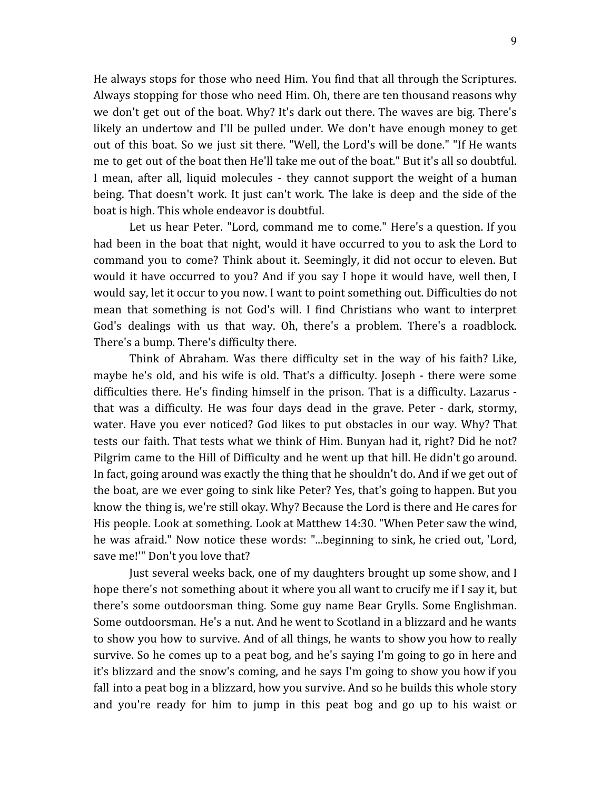He always stops for those who need Him. You find that all through the Scriptures. Always stopping for those who need Him. Oh, there are ten thousand reasons why we don't get out of the boat. Why? It's dark out there. The waves are big. There's likely an undertow and I'll be pulled under. We don't have enough money to get out of this boat. So we just sit there. "Well, the Lord's will be done." "If He wants me to get out of the boat then He'll take me out of the boat." But it's all so doubtful. I mean, after all, liquid molecules - they cannot support the weight of a human being. That doesn't work. It just can't work. The lake is deep and the side of the boat is high. This whole endeavor is doubtful.

Let us hear Peter. "Lord, command me to come." Here's a question. If you had been in the boat that night, would it have occurred to you to ask the Lord to command you to come? Think about it. Seemingly, it did not occur to eleven. But would it have occurred to you? And if you say I hope it would have, well then, I would say, let it occur to you now. I want to point something out. Difficulties do not mean that something is not God's will. I find Christians who want to interpret God's dealings with us that way. Oh, there's a problem. There's a roadblock. There's a bump. There's difficulty there.

Think of Abraham. Was there difficulty set in the way of his faith? Like, maybe he's old, and his wife is old. That's a difficulty. Joseph - there were some difficulties there. He's finding himself in the prison. That is a difficulty. Lazarus that was a difficulty. He was four days dead in the grave. Peter - dark, stormy, water. Have you ever noticed? God likes to put obstacles in our way. Why? That tests our faith. That tests what we think of Him. Bunyan had it, right? Did he not? Pilgrim came to the Hill of Difficulty and he went up that hill. He didn't go around. In fact, going around was exactly the thing that he shouldn't do. And if we get out of the boat, are we ever going to sink like Peter? Yes, that's going to happen. But you know the thing is, we're still okay. Why? Because the Lord is there and He cares for His people. Look at something. Look at Matthew 14:30. "When Peter saw the wind, he was afraid." Now notice these words: "...beginning to sink, he cried out, 'Lord, save me!'" Don't you love that?

Just several weeks back, one of my daughters brought up some show, and I hope there's not something about it where you all want to crucify me if I say it, but there's some outdoorsman thing. Some guy name Bear Grylls. Some Englishman. Some outdoorsman. He's a nut. And he went to Scotland in a blizzard and he wants to show you how to survive. And of all things, he wants to show you how to really survive. So he comes up to a peat bog, and he's saying I'm going to go in here and it's blizzard and the snow's coming, and he says I'm going to show you how if you fall into a peat bog in a blizzard, how you survive. And so he builds this whole story and you're ready for him to jump in this peat bog and go up to his waist or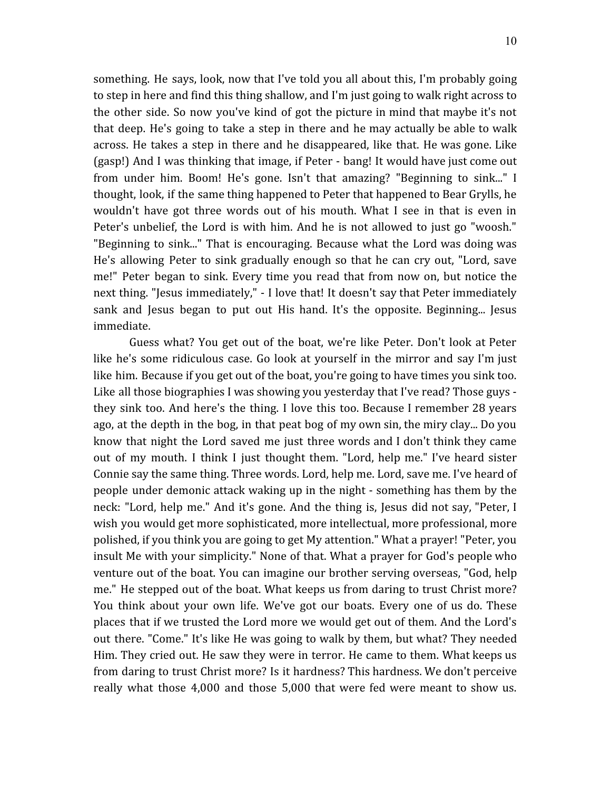something. He says, look, now that I've told you all about this, I'm probably going to step in here and find this thing shallow, and I'm just going to walk right across to the other side. So now you've kind of got the picture in mind that maybe it's not that deep. He's going to take a step in there and he may actually be able to walk across. He takes a step in there and he disappeared, like that. He was gone. Like (gasp!) And I was thinking that image, if Peter - bang! It would have just come out from under him. Boom! He's gone. Isn't that amazing? "Beginning to sink..." I thought, look, if the same thing happened to Peter that happened to Bear Grylls, he wouldn't have got three words out of his mouth. What I see in that is even in Peter's unbelief, the Lord is with him. And he is not allowed to just go "woosh." "Beginning to sink..." That is encouraging. Because what the Lord was doing was He's allowing Peter to sink gradually enough so that he can cry out, "Lord, save me!" Peter began to sink. Every time you read that from now on, but notice the next thing. "Jesus immediately," - I love that! It doesn't say that Peter immediately sank and Jesus began to put out His hand. It's the opposite. Beginning... Jesus immediate.

Guess what? You get out of the boat, we're like Peter. Don't look at Peter like he's some ridiculous case. Go look at yourself in the mirror and say I'm just like him. Because if you get out of the boat, you're going to have times you sink too. Like all those biographies I was showing you yesterday that I've read? Those guys they sink too. And here's the thing. I love this too. Because I remember 28 years ago, at the depth in the bog, in that peat bog of my own sin, the miry clay... Do you know that night the Lord saved me just three words and I don't think they came out of my mouth. I think I just thought them. "Lord, help me." I've heard sister Connie say the same thing. Three words. Lord, help me. Lord, save me. I've heard of people under demonic attack waking up in the night - something has them by the neck: "Lord, help me." And it's gone. And the thing is, Jesus did not say, "Peter, I wish you would get more sophisticated, more intellectual, more professional, more polished, if you think you are going to get My attention." What a prayer! "Peter, you insult Me with your simplicity." None of that. What a prayer for God's people who venture out of the boat. You can imagine our brother serving overseas, "God, help me." He stepped out of the boat. What keeps us from daring to trust Christ more? You think about your own life. We've got our boats. Every one of us do. These places that if we trusted the Lord more we would get out of them. And the Lord's out there. "Come." It's like He was going to walk by them, but what? They needed Him. They cried out. He saw they were in terror. He came to them. What keeps us from daring to trust Christ more? Is it hardness? This hardness. We don't perceive really what those 4,000 and those 5,000 that were fed were meant to show us.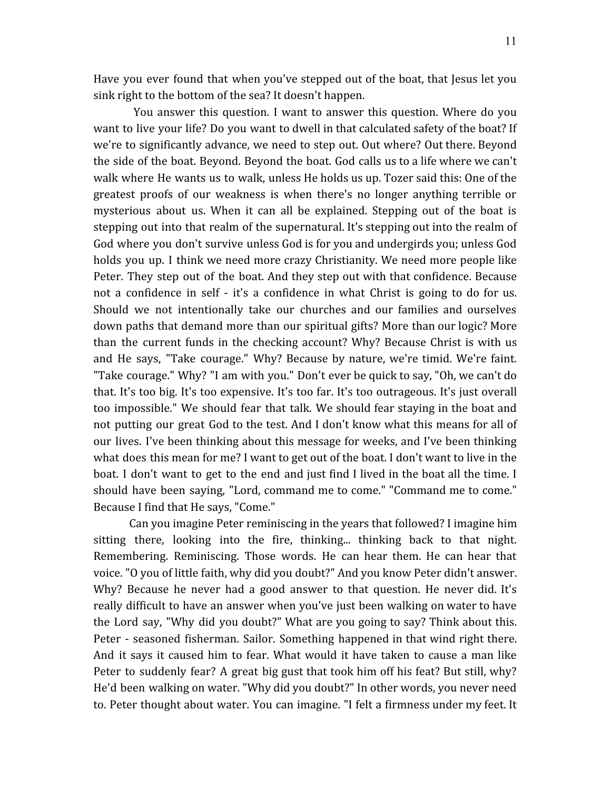Have you ever found that when you've stepped out of the boat, that Jesus let you sink right to the bottom of the sea? It doesn't happen.

You answer this question. I want to answer this question. Where do you want to live your life? Do you want to dwell in that calculated safety of the boat? If we're to significantly advance, we need to step out. Out where? Out there. Beyond the side of the boat. Beyond. Beyond the boat. God calls us to a life where we can't walk where He wants us to walk, unless He holds us up. Tozer said this: One of the greatest proofs of our weakness is when there's no longer anything terrible or mysterious about us. When it can all be explained. Stepping out of the boat is stepping out into that realm of the supernatural. It's stepping out into the realm of God where you don't survive unless God is for you and undergirds you; unless God holds you up. I think we need more crazy Christianity. We need more people like Peter. They step out of the boat. And they step out with that confidence. Because not a confidence in self - it's a confidence in what Christ is going to do for us. Should we not intentionally take our churches and our families and ourselves down paths that demand more than our spiritual gifts? More than our logic? More than the current funds in the checking account? Why? Because Christ is with us and He says, "Take courage." Why? Because by nature, we're timid. We're faint. "Take courage." Why? "I am with you." Don't ever be quick to say, "Oh, we can't do that. It's too big. It's too expensive. It's too far. It's too outrageous. It's just overall too impossible." We should fear that talk. We should fear staying in the boat and not putting our great God to the test. And I don't know what this means for all of our lives. I've been thinking about this message for weeks, and I've been thinking what does this mean for me? I want to get out of the boat. I don't want to live in the boat. I don't want to get to the end and just find I lived in the boat all the time. I should have been saying, "Lord, command me to come." "Command me to come." Because I find that He says, "Come."

Can you imagine Peter reminiscing in the years that followed? I imagine him sitting there, looking into the fire, thinking... thinking back to that night. Remembering. Reminiscing. Those words. He can hear them. He can hear that voice. "O you of little faith, why did you doubt?" And you know Peter didn't answer. Why? Because he never had a good answer to that question. He never did. It's really difficult to have an answer when you've just been walking on water to have the Lord say, "Why did you doubt?" What are you going to say? Think about this. Peter - seasoned fisherman. Sailor. Something happened in that wind right there. And it says it caused him to fear. What would it have taken to cause a man like Peter to suddenly fear? A great big gust that took him off his feat? But still, why? He'd been walking on water. "Why did you doubt?" In other words, you never need to. Peter thought about water. You can imagine. "I felt a firmness under my feet. It